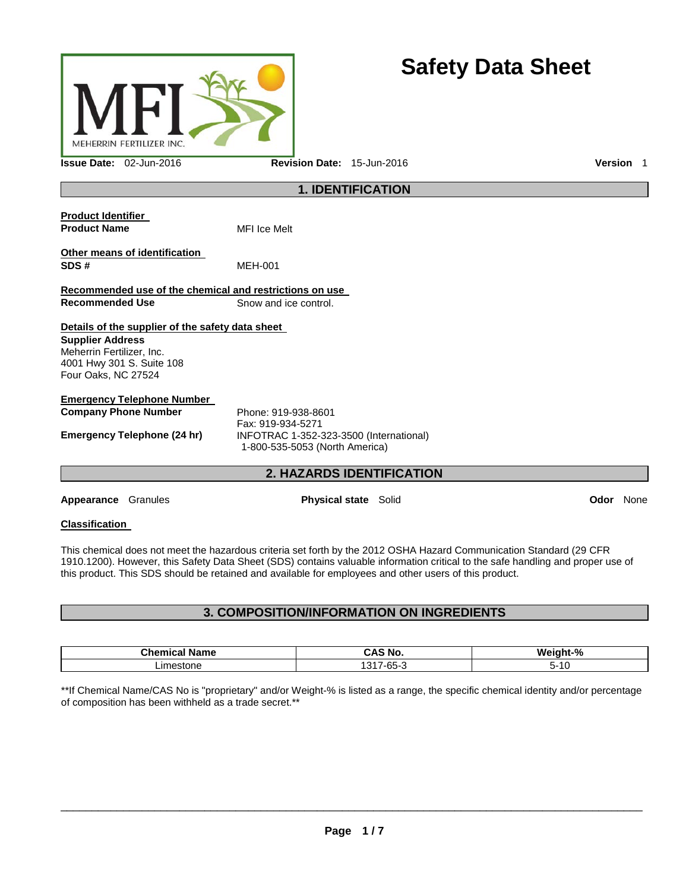

# **Safety Data Sheet**

**Issue Date:** 02-Jun-2016 **Revision Date:** 15-Jun-2016 **Version** 1

### **1. IDENTIFICATION**

| <b>Product Identifier</b><br><b>Product Name</b>                                                         |                                                  | <b>MFI</b> Ice Melt                                                       |             |      |
|----------------------------------------------------------------------------------------------------------|--------------------------------------------------|---------------------------------------------------------------------------|-------------|------|
| SDS#                                                                                                     | Other means of identification                    | <b>MEH-001</b>                                                            |             |      |
|                                                                                                          |                                                  | Recommended use of the chemical and restrictions on use                   |             |      |
| <b>Recommended Use</b>                                                                                   |                                                  | Snow and ice control.                                                     |             |      |
|                                                                                                          | Details of the supplier of the safety data sheet |                                                                           |             |      |
| <b>Supplier Address</b><br>Meherrin Fertilizer, Inc.<br>4001 Hwy 301 S. Suite 108<br>Four Oaks, NC 27524 |                                                  |                                                                           |             |      |
|                                                                                                          | <b>Emergency Telephone Number</b>                |                                                                           |             |      |
| <b>Company Phone Number</b>                                                                              |                                                  | Phone: 919-938-8601<br>Fax: 919-934-5271                                  |             |      |
|                                                                                                          | Emergency Telephone (24 hr)                      | INFOTRAC 1-352-323-3500 (International)<br>1-800-535-5053 (North America) |             |      |
|                                                                                                          |                                                  | <b>2. HAZARDS IDENTIFICATION</b>                                          |             |      |
| Appearance                                                                                               | Granules                                         | <b>Physical state</b> Solid                                               | <b>Odor</b> | None |

### **Classification**

This chemical does not meet the hazardous criteria set forth by the 2012 OSHA Hazard Communication Standard (29 CFR 1910.1200). However, this Safety Data Sheet (SDS) contains valuable information critical to the safe handling and proper use of this product. This SDS should be retained and available for employees and other users of this product.

### **3. COMPOSITION/INFORMATION ON INGREDIENTS**

| - -<br>Chamine:<br>Name<br>.   | AC<br>No<br>лю   | <b>Weigh</b><br>$\Omega$<br>-nt-°<br>70 |
|--------------------------------|------------------|-----------------------------------------|
| 100000000000<br>stone<br>تعاصر | . .<br>``<br>-uu | כ-<br>1 U                               |

\*\*If Chemical Name/CAS No is "proprietary" and/or Weight-% is listed as a range, the specific chemical identity and/or percentage of composition has been withheld as a trade secret.\*\*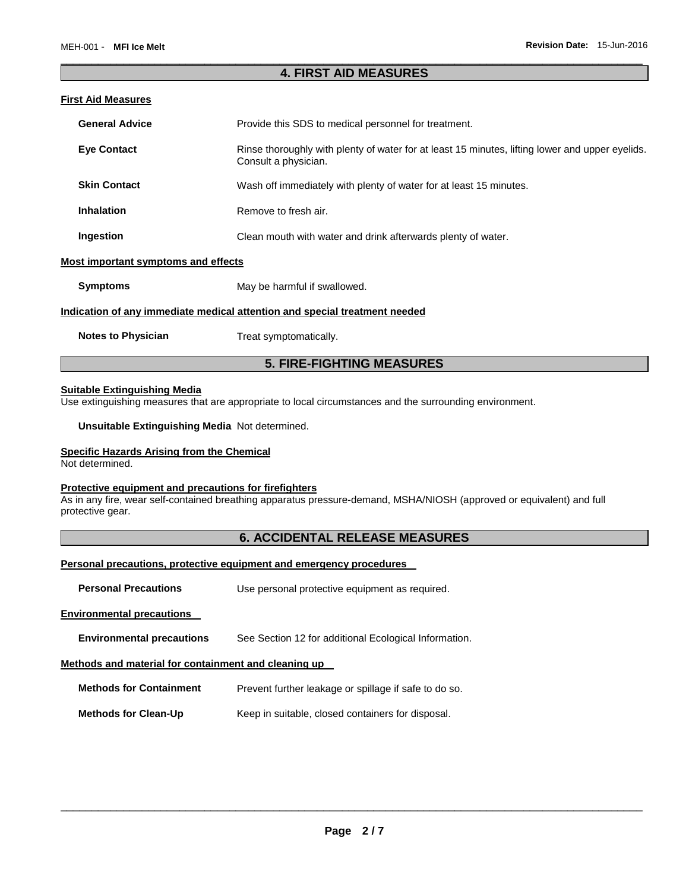### \_\_\_\_\_\_\_\_\_\_\_\_\_\_\_\_\_\_\_\_\_\_\_\_\_\_\_\_\_\_\_\_\_\_\_\_\_\_\_\_\_\_\_\_\_\_\_\_\_\_\_\_\_\_\_\_\_\_\_\_\_\_\_\_\_\_\_\_\_\_\_\_\_\_\_\_\_\_\_\_\_\_\_\_\_\_\_\_\_\_\_\_\_ **4. FIRST AID MEASURES**

### **First Aid Measures**

| <b>General Advice</b>               | Provide this SDS to medical personnel for treatment.                                                                    |
|-------------------------------------|-------------------------------------------------------------------------------------------------------------------------|
| <b>Eve Contact</b>                  | Rinse thoroughly with plenty of water for at least 15 minutes, lifting lower and upper eyelids.<br>Consult a physician. |
| <b>Skin Contact</b>                 | Wash off immediately with plenty of water for at least 15 minutes.                                                      |
| <b>Inhalation</b>                   | Remove to fresh air.                                                                                                    |
| Ingestion                           | Clean mouth with water and drink afterwards plenty of water.                                                            |
| Most important symptoms and effects |                                                                                                                         |

**Symptoms** May be harmful if swallowed.

#### **Indication of any immediate medical attention and special treatment needed**

**Notes to Physician**  Treat symptomatically.

### **5. FIRE-FIGHTING MEASURES**

#### **Suitable Extinguishing Media**

Use extinguishing measures that are appropriate to local circumstances and the surrounding environment.

**Unsuitable Extinguishing Media** Not determined.

### **Specific Hazards Arising from the Chemical**

Not determined.

#### **Protective equipment and precautions for firefighters**

As in any fire, wear self-contained breathing apparatus pressure-demand, MSHA/NIOSH (approved or equivalent) and full protective gear.

### **6. ACCIDENTAL RELEASE MEASURES**

#### **Personal precautions, protective equipment and emergency procedures**

**Personal Precautions Use personal protective equipment as required.** 

### **Environmental precautions**

#### **Environmental precautions** See Section 12 for additional Ecological Information.

### **Methods and material for containment and cleaning up**

**Methods for Containment** Prevent further leakage or spillage if safe to do so.

**Methods for Clean-Up Keep in suitable, closed containers for disposal.**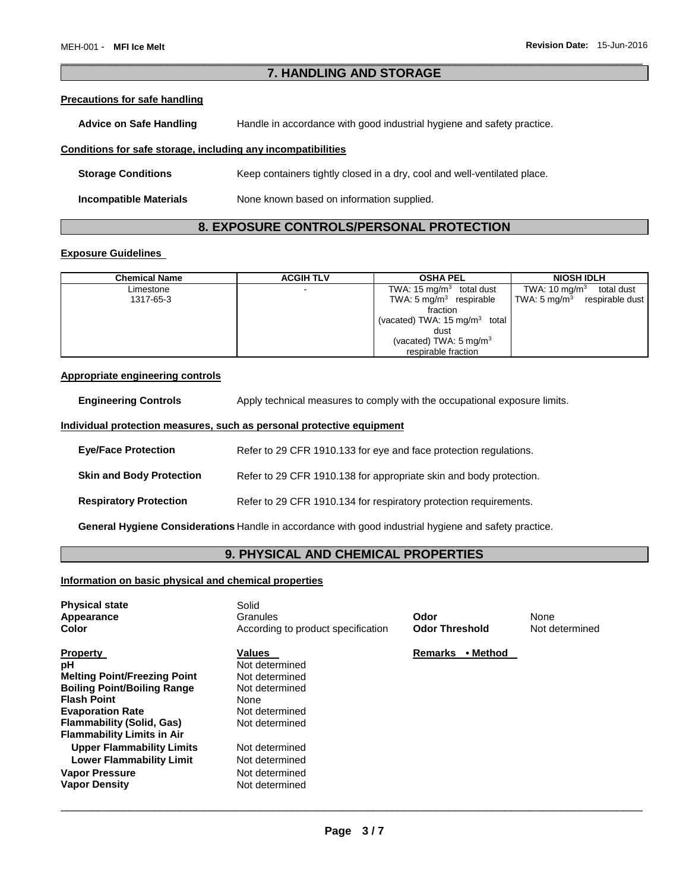### \_\_\_\_\_\_\_\_\_\_\_\_\_\_\_\_\_\_\_\_\_\_\_\_\_\_\_\_\_\_\_\_\_\_\_\_\_\_\_\_\_\_\_\_\_\_\_\_\_\_\_\_\_\_\_\_\_\_\_\_\_\_\_\_\_\_\_\_\_\_\_\_\_\_\_\_\_\_\_\_\_\_\_\_\_\_\_\_\_\_\_\_\_ **7. HANDLING AND STORAGE**

#### **Precautions for safe handling**

Advice on Safe Handling **Handle in accordance with good industrial hygiene and safety practice.** 

### **Conditions for safe storage, including any incompatibilities**

| <b>Storage Conditions</b> | Keep containers tightly closed in a dry, cool and well-ventilated place. |
|---------------------------|--------------------------------------------------------------------------|
| Incompatible Materials    | None known based on information supplied.                                |

### **8. EXPOSURE CONTROLS/PERSONAL PROTECTION**

### **Exposure Guidelines**

| <b>Chemical Name</b> | <b>ACGIH TLV</b>         | <b>OSHA PEL</b>                             | <b>NIOSH IDLH</b>                          |
|----------------------|--------------------------|---------------------------------------------|--------------------------------------------|
| Limestone            | $\overline{\phantom{0}}$ | TWA: 15 mg/m $3$ total dust                 | TWA: 10 mg/m $3$<br>total dust             |
| 1317-65-3            |                          | TWA: $5 \text{ mg/m}^3$ respirable          | TWA: $5 \text{ mg/m}^3$<br>respirable dust |
|                      |                          | fraction                                    |                                            |
|                      |                          | (vacated) TWA: $15 \,\mathrm{mq/m^3}$ total |                                            |
|                      |                          | dust                                        |                                            |
|                      |                          | (vacated) TWA: $5 \text{ mg/m}^3$           |                                            |
|                      |                          | respirable fraction                         |                                            |

#### **Appropriate engineering controls**

| <b>Engineering Controls</b> | Apply technical measures to comply with the occupational exposure limits. |
|-----------------------------|---------------------------------------------------------------------------|
|                             |                                                                           |

### **Individual protection measures, such as personal protective equipment**

| <b>Eye/Face Protection</b>      | Refer to 29 CFR 1910.133 for eye and face protection regulations.  |
|---------------------------------|--------------------------------------------------------------------|
| <b>Skin and Body Protection</b> | Refer to 29 CFR 1910.138 for appropriate skin and body protection. |
| <b>Respiratory Protection</b>   | Refer to 29 CFR 1910.134 for respiratory protection requirements.  |

**General Hygiene Considerations** Handle in accordance with good industrial hygiene and safety practice.

## **9. PHYSICAL AND CHEMICAL PROPERTIES**

### **Information on basic physical and chemical properties**

| <b>Physical state</b><br>Appearance<br>Color                                                                                                                                                                                                                                                                                                         | Solid<br>Granules<br>According to product specification                                                                                                                                 | Odor<br><b>Odor Threshold</b> | None<br>Not determined |
|------------------------------------------------------------------------------------------------------------------------------------------------------------------------------------------------------------------------------------------------------------------------------------------------------------------------------------------------------|-----------------------------------------------------------------------------------------------------------------------------------------------------------------------------------------|-------------------------------|------------------------|
| <b>Property</b><br>pH<br><b>Melting Point/Freezing Point</b><br><b>Boiling Point/Boiling Range</b><br><b>Flash Point</b><br><b>Evaporation Rate</b><br><b>Flammability (Solid, Gas)</b><br><b>Flammability Limits in Air</b><br><b>Upper Flammability Limits</b><br><b>Lower Flammability Limit</b><br><b>Vapor Pressure</b><br><b>Vapor Density</b> | <b>Values</b><br>Not determined<br>Not determined<br>Not determined<br>None<br>Not determined<br>Not determined<br>Not determined<br>Not determined<br>Not determined<br>Not determined | • Method<br><b>Remarks</b>    |                        |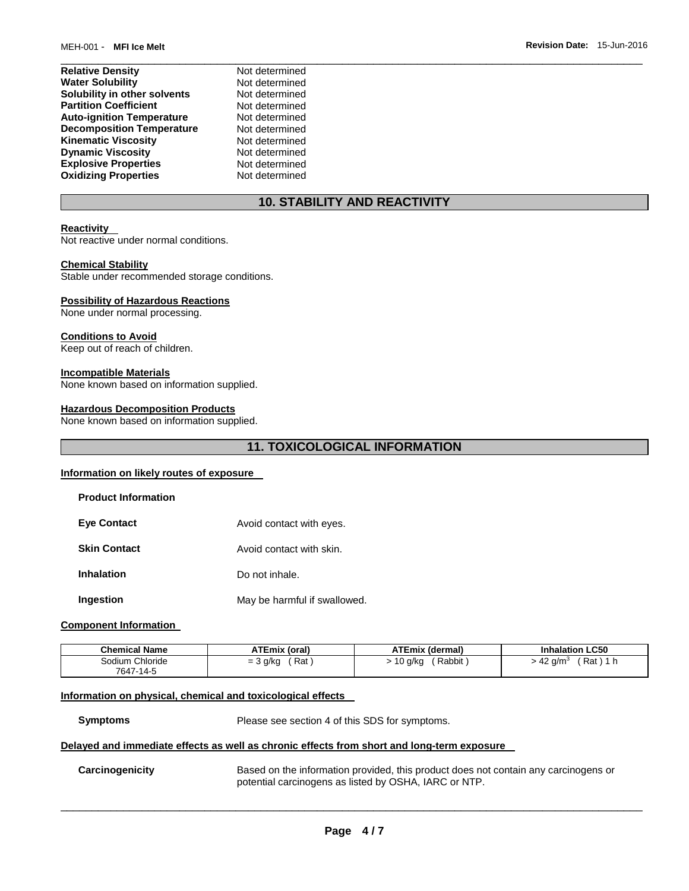| <b>Relative Density</b>          | Not determined |
|----------------------------------|----------------|
| <b>Water Solubility</b>          | Not determined |
| Solubility in other solvents     | Not determined |
| <b>Partition Coefficient</b>     | Not determined |
| <b>Auto-ignition Temperature</b> | Not determined |
| <b>Decomposition Temperature</b> | Not determined |
| <b>Kinematic Viscosity</b>       | Not determined |
| <b>Dynamic Viscosity</b>         | Not determined |
| <b>Explosive Properties</b>      | Not determined |
| <b>Oxidizing Properties</b>      | Not determined |

### **10. STABILITY AND REACTIVITY**

\_\_\_\_\_\_\_\_\_\_\_\_\_\_\_\_\_\_\_\_\_\_\_\_\_\_\_\_\_\_\_\_\_\_\_\_\_\_\_\_\_\_\_\_\_\_\_\_\_\_\_\_\_\_\_\_\_\_\_\_\_\_\_\_\_\_\_\_\_\_\_\_\_\_\_\_\_\_\_\_\_\_\_\_\_\_\_\_\_\_\_\_\_

#### **Reactivity**

Not reactive under normal conditions.

#### **Chemical Stability**

Stable under recommended storage conditions.

#### **Possibility of Hazardous Reactions**

None under normal processing.

#### **Conditions to Avoid**

Keep out of reach of children.

#### **Incompatible Materials**

None known based on information supplied.

#### **Hazardous Decomposition Products**

None known based on information supplied.

### **11. TOXICOLOGICAL INFORMATION**

#### **Information on likely routes of exposure**

| <b>Product Information</b> |                              |
|----------------------------|------------------------------|
| <b>Eve Contact</b>         | Avoid contact with eyes.     |
| <b>Skin Contact</b>        | Avoid contact with skin.     |
| <b>Inhalation</b>          | Do not inhale.               |
| <b>Ingestion</b>           | May be harmful if swallowed. |

### **Component Information**

| <b>Chemical Name</b> | <b>ATEmix (oral)</b> | <b>ATEmix (dermal)</b> | <b>Inhalation LC50</b>    |
|----------------------|----------------------|------------------------|---------------------------|
| Sodium Chloride      | Rat<br>$=$ 3 g/kg    | Rabbit<br>10 g/kg      | Rat ) 1 h<br>42<br>' a/m∘ |
| 7647-14-5            |                      |                        |                           |

### **Information on physical, chemical and toxicological effects**

**Symptoms** Please see section 4 of this SDS for symptoms.

#### **Delayed and immediate effects as well as chronic effects from short and long-term exposure**

**Carcinogenicity** Based on the information provided, this product does not contain any carcinogens or potential carcinogens as listed by OSHA, IARC or NTP.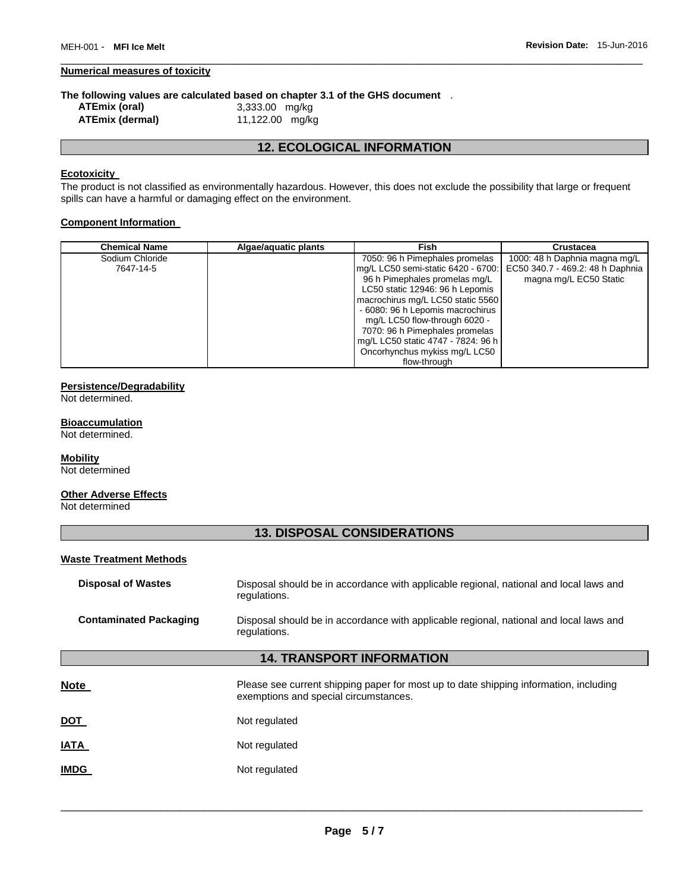#### **Numerical measures of toxicity**

# **The following values are calculated based on chapter 3.1 of the GHS document** .<br>ATEmix (oral)  $3,333.00$  mg/kg

**ATEmix (oral)** 3,333.00 mg/kg **ATEmix (dermal)** 11,122.00 mg/kg

### **12. ECOLOGICAL INFORMATION**

\_\_\_\_\_\_\_\_\_\_\_\_\_\_\_\_\_\_\_\_\_\_\_\_\_\_\_\_\_\_\_\_\_\_\_\_\_\_\_\_\_\_\_\_\_\_\_\_\_\_\_\_\_\_\_\_\_\_\_\_\_\_\_\_\_\_\_\_\_\_\_\_\_\_\_\_\_\_\_\_\_\_\_\_\_\_\_\_\_\_\_\_\_

### **Ecotoxicity**

The product is not classified as environmentally hazardous. However, this does not exclude the possibility that large or frequent spills can have a harmful or damaging effect on the environment.

### **Component Information**

| <b>Chemical Name</b> | Algae/aquatic plants | Fish                               | Crustacea                        |
|----------------------|----------------------|------------------------------------|----------------------------------|
| Sodium Chloride      |                      | 7050: 96 h Pimephales promelas     | 1000: 48 h Daphnia magna mg/L    |
| 7647-14-5            |                      | mg/L LC50 semi-static 6420 - 6700: | EC50 340.7 - 469.2: 48 h Daphnia |
|                      |                      | 96 h Pimephales promelas mg/L      | magna mg/L EC50 Static           |
|                      |                      | LC50 static 12946: 96 h Lepomis    |                                  |
|                      |                      | macrochirus mg/L LC50 static 5560  |                                  |
|                      |                      | - 6080: 96 h Lepomis macrochirus   |                                  |
|                      |                      | mg/L LC50 flow-through 6020 -      |                                  |
|                      |                      | 7070: 96 h Pimephales promelas     |                                  |
|                      |                      | mg/L LC50 static 4747 - 7824: 96 h |                                  |
|                      |                      | Oncorhynchus mykiss mg/L LC50      |                                  |
|                      |                      | flow-through                       |                                  |

### **Persistence/Degradability**

Not determined.

#### **Bioaccumulation**

Not determined.

#### **Mobility**

Not determined

### **Other Adverse Effects**

Not determined

### **13. DISPOSAL CONSIDERATIONS**

#### **Waste Treatment Methods**

| <b>Disposal of Wastes</b>        | Disposal should be in accordance with applicable regional, national and local laws and<br>regulations.                         |  |  |  |  |
|----------------------------------|--------------------------------------------------------------------------------------------------------------------------------|--|--|--|--|
| <b>Contaminated Packaging</b>    | Disposal should be in accordance with applicable regional, national and local laws and<br>regulations.                         |  |  |  |  |
| <b>14. TRANSPORT INFORMATION</b> |                                                                                                                                |  |  |  |  |
| <b>Note</b>                      | Please see current shipping paper for most up to date shipping information, including<br>exemptions and special circumstances. |  |  |  |  |
| <u>DOT</u>                       | Not regulated                                                                                                                  |  |  |  |  |
| IATA                             | Not regulated                                                                                                                  |  |  |  |  |
| <b>IMDG</b>                      | Not regulated                                                                                                                  |  |  |  |  |
|                                  |                                                                                                                                |  |  |  |  |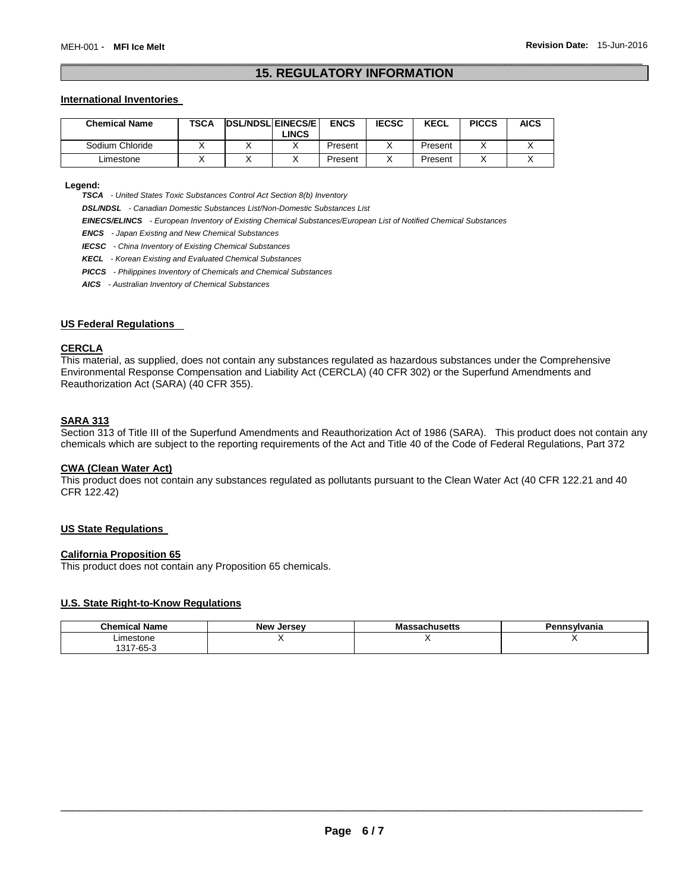### \_\_\_\_\_\_\_\_\_\_\_\_\_\_\_\_\_\_\_\_\_\_\_\_\_\_\_\_\_\_\_\_\_\_\_\_\_\_\_\_\_\_\_\_\_\_\_\_\_\_\_\_\_\_\_\_\_\_\_\_\_\_\_\_\_\_\_\_\_\_\_\_\_\_\_\_\_\_\_\_\_\_\_\_\_\_\_\_\_\_\_\_\_ **15. REGULATORY INFORMATION**

#### **International Inventories**

| <b>Chemical Name</b> | TSCA | <b>DSL/NDSLEINECS/EL</b> | _INCS | <b>ENCS</b> | <b>IECSC</b> | <b>KECL</b> | <b>PICCS</b> | <b>AICS</b> |
|----------------------|------|--------------------------|-------|-------------|--------------|-------------|--------------|-------------|
| Sodium Chloride      |      |                          |       | Present     |              | Present     |              |             |
| Limestone            |      |                          |       | Present     |              | Present     |              |             |

**Legend:** 

*TSCA - United States Toxic Substances Control Act Section 8(b) Inventory* 

*DSL/NDSL - Canadian Domestic Substances List/Non-Domestic Substances List* 

*EINECS/ELINCS - European Inventory of Existing Chemical Substances/European List of Notified Chemical Substances* 

*ENCS - Japan Existing and New Chemical Substances* 

*IECSC - China Inventory of Existing Chemical Substances* 

*KECL - Korean Existing and Evaluated Chemical Substances* 

*PICCS - Philippines Inventory of Chemicals and Chemical Substances* 

*AICS - Australian Inventory of Chemical Substances* 

### **US Federal Regulations**

#### **CERCLA**

This material, as supplied, does not contain any substances regulated as hazardous substances under the Comprehensive Environmental Response Compensation and Liability Act (CERCLA) (40 CFR 302) or the Superfund Amendments and Reauthorization Act (SARA) (40 CFR 355).

### **SARA 313**

Section 313 of Title III of the Superfund Amendments and Reauthorization Act of 1986 (SARA). This product does not contain any chemicals which are subject to the reporting requirements of the Act and Title 40 of the Code of Federal Regulations, Part 372

### **CWA (Clean Water Act)**

This product does not contain any substances regulated as pollutants pursuant to the Clean Water Act (40 CFR 122.21 and 40 CFR 122.42)

### **US State Regulations**

#### **California Proposition 65**

This product does not contain any Proposition 65 chemicals.

#### **U.S. State Right-to-Know Regulations**

| <b>Chemical Name</b> | <b>New Jersey</b> | ssachusetts<br>wa | `nsvlvania |
|----------------------|-------------------|-------------------|------------|
| imestone             |                   |                   |            |
| 17-65-3              |                   |                   |            |